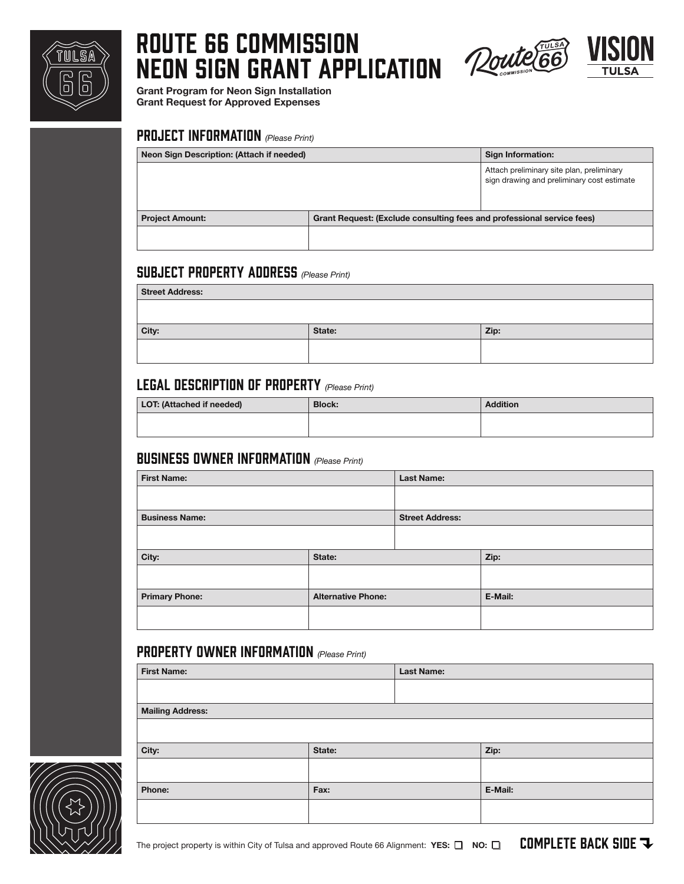

# ROUTE 66 COMMISSION NEON SIGN GRANT APPLICATION Zoute



Grant Program for Neon Sign Installation Grant Request for Approved Expenses

#### PROJECT INFORMATION *(Please Print)*

| Neon Sign Description: (Attach if needed) |                                                                        | Sign Information:                                                                       |
|-------------------------------------------|------------------------------------------------------------------------|-----------------------------------------------------------------------------------------|
|                                           |                                                                        | Attach preliminary site plan, preliminary<br>sign drawing and preliminary cost estimate |
| <b>Project Amount:</b>                    | Grant Request: (Exclude consulting fees and professional service fees) |                                                                                         |
|                                           |                                                                        |                                                                                         |

#### SUBJECT PROPERTY ADDRESS *(Please Print)*

| <b>Street Address:</b> |        |      |
|------------------------|--------|------|
|                        |        |      |
| City:                  | State: | Zip: |
|                        |        |      |
|                        |        |      |

#### LEGAL DESCRIPTION OF PROPERTY *(Please Print)*

| LOT: (Attached if needed) | <b>Block:</b> | <b>Addition</b> |
|---------------------------|---------------|-----------------|
|                           |               |                 |

#### business owner information *(Please Print)*

| <b>First Name:</b>    |                           | <b>Last Name:</b>      |         |
|-----------------------|---------------------------|------------------------|---------|
|                       |                           |                        |         |
| <b>Business Name:</b> |                           | <b>Street Address:</b> |         |
|                       |                           |                        |         |
| City:                 | State:                    |                        | Zip:    |
|                       |                           |                        |         |
| <b>Primary Phone:</b> | <b>Alternative Phone:</b> |                        | E-Mail: |
|                       |                           |                        |         |

### property owner information *(Please Print)*

|        | <b>Last Name:</b> |         |
|--------|-------------------|---------|
|        |                   |         |
|        |                   |         |
|        |                   |         |
| State: |                   | Zip:    |
|        |                   |         |
| Fax:   |                   | E-Mail: |
|        |                   |         |
|        |                   |         |